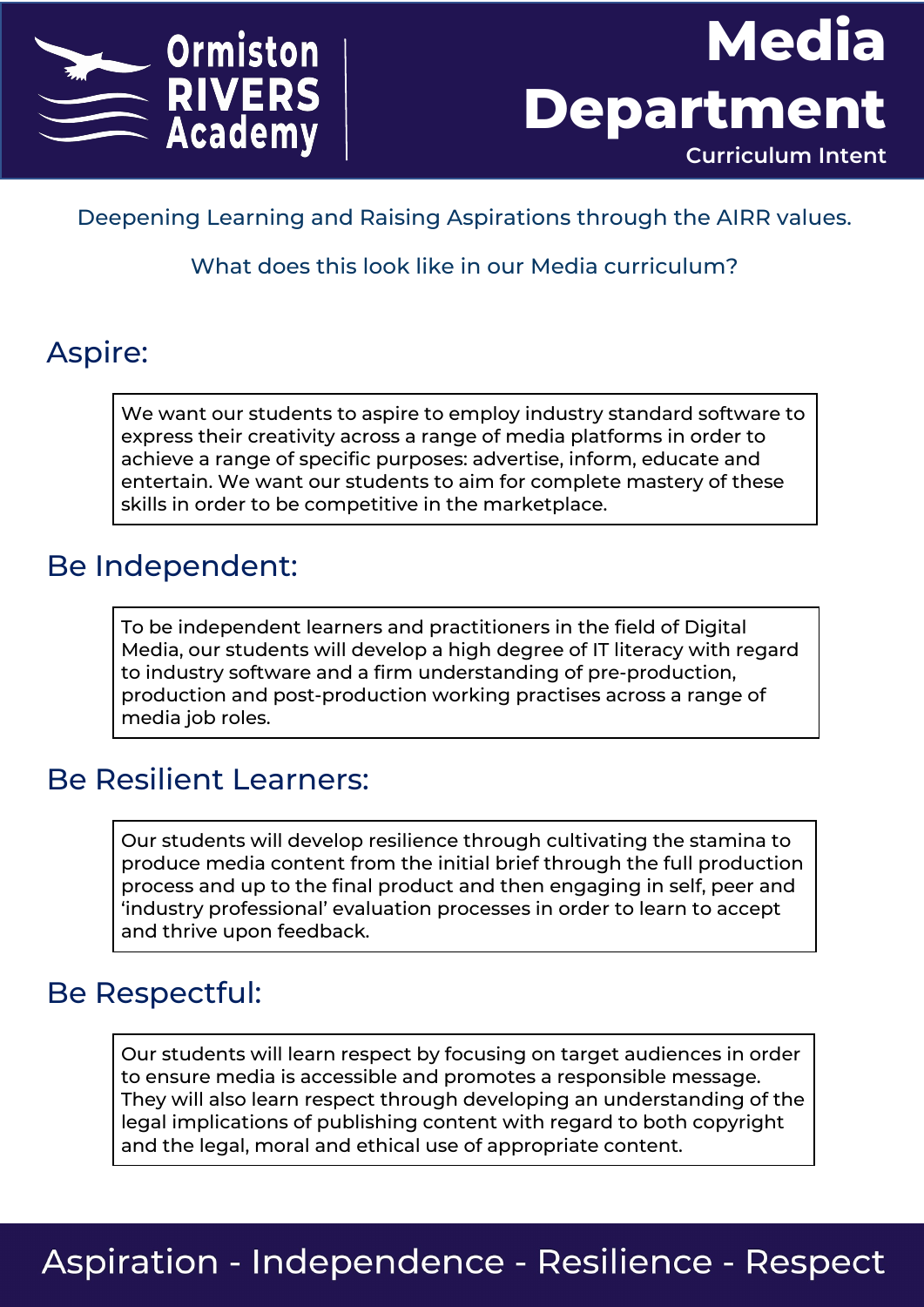



Deepening Learning and Raising Aspirations through the AIRR values.

What does this look like in our Media curriculum?

### Aspire:

We want our students to aspire to employ industry standard software to express their creativity across a range of media platforms in order to achieve a range of specific purposes: advertise, inform, educate and entertain. We want our students to aim for complete mastery of these skills in order to be competitive in the marketplace.

#### Be Independent:

To be independent learners and practitioners in the field of Digital Media, our students will develop a high degree of IT literacy with regard to industry software and a firm understanding of pre-production, production and post-production working practises across a range of media job roles.

### Be Resilient Learners:

Our students will develop resilience through cultivating the stamina to produce media content from the initial brief through the full production process and up to the final product and then engaging in self, peer and 'industry professional' evaluation processes in order to learn to accept and thrive upon feedback.

### Be Respectful:

Our students will learn respect by focusing on target audiences in order to ensure media is accessible and promotes a responsible message. They will also learn respect through developing an understanding of the legal implications of publishing content with regard to both copyright and the legal, moral and ethical use of appropriate content.

## **Aspiration - Independence - Resilience - Respect**